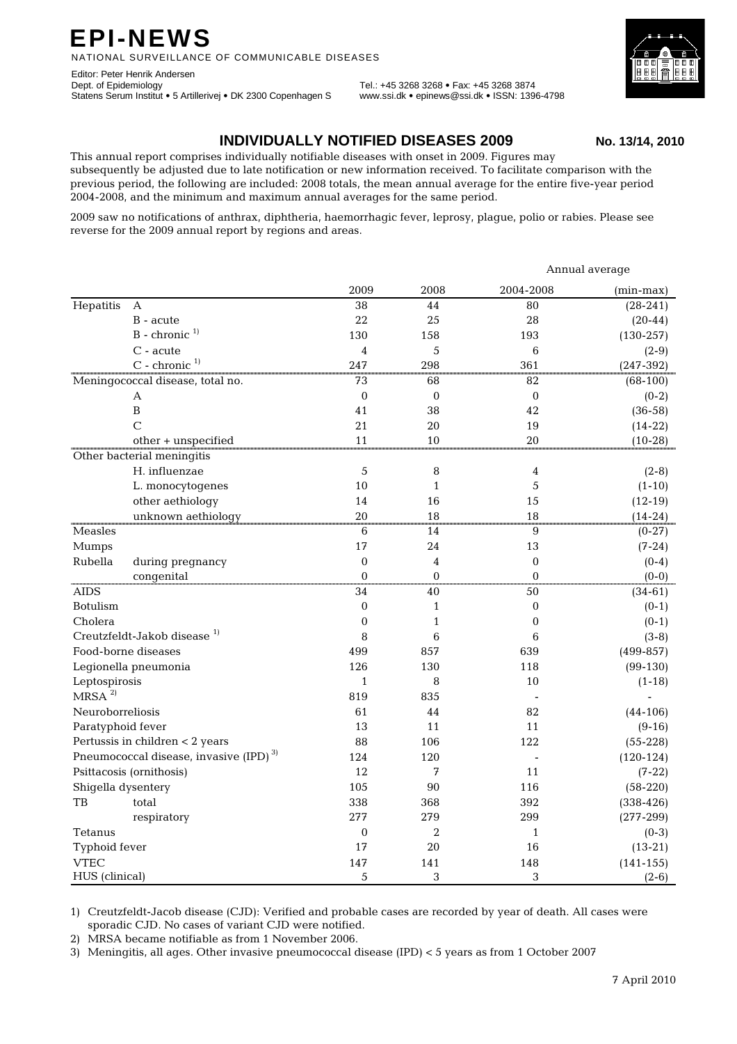## **EPI-NEWS**

NATIONAL SURVEILLANCE OF COMMUNICABLE DISEASES

Editor: Peter Henrik Andersen Dept. of Epidemiology Tel.: +45 3268 3268 • Fax: +45 3268 3874 Statens Serum Institut • 5 Artillerivej • DK 2300 Copenhagen S www.ssi.dk • epinews@ssi.dk • ISSN: 1396-4798

## **INDIVIDUALLY NOTIFIED DISEASES 2009 No. 13/14, 2010**

This annual report comprises individually notifiable diseases with onset in 2009. Figures may subsequently be adjusted due to late notification or new information received. To facilitate comparison with the previous period, the following are included: 2008 totals, the mean annual average for the entire five-year period 2004-2008, and the minimum and maximum annual averages for the same period.

2009 saw no notifications of anthrax, diphtheria, haemorrhagic fever, leprosy, plague, polio or rabies. Please see reverse for the 2009 annual report by regions and areas.

|                                                    |                             |                  |                  | Annual average       |               |  |  |
|----------------------------------------------------|-----------------------------|------------------|------------------|----------------------|---------------|--|--|
|                                                    |                             | 2009             | 2008             | 2004-2008            | $(min-max)$   |  |  |
| Hepatitis                                          | А                           | 38               | 44               | 80                   | $(28-241)$    |  |  |
|                                                    | B - acute                   | 22               | 25               | 28                   | $(20-44)$     |  |  |
|                                                    | $B -$ chronic <sup>1)</sup> | 130              | 158              | 193                  | $(130-257)$   |  |  |
|                                                    | C - acute                   | 4                | 5                | 6                    | $(2-9)$       |  |  |
|                                                    | $C$ - chronic $1$           | 247              | 298              | 361                  | $(247-392)$   |  |  |
| Meningococcal disease, total no.                   |                             | 73               | 68               | $\overline{82}$      | $(68-100)$    |  |  |
|                                                    | А                           | $\boldsymbol{0}$ | $\boldsymbol{0}$ | $\mathbf 0$          | $(0-2)$       |  |  |
|                                                    | B                           | 41               | 38               | 42                   | $(36-58)$     |  |  |
|                                                    | $\overline{C}$              | 21               | 20               | 19                   | $(14-22)$     |  |  |
|                                                    | other + unspecified         | 11               | 10               | 20                   | $(10-28)$     |  |  |
|                                                    | Other bacterial meningitis  |                  |                  |                      |               |  |  |
|                                                    | H. influenzae               | 5                | 8                | 4                    | $(2-8)$       |  |  |
|                                                    | L. monocytogenes            | 10               | $\mathbf{1}$     | 5                    | $(1-10)$      |  |  |
|                                                    | other aethiology            | 14               | 16               | 15                   | $(12-19)$     |  |  |
|                                                    | unknown aethiology          | 20               | 18               | 18                   | $(14-24)$     |  |  |
| Measles                                            |                             | 6                | 14               | $\frac{1}{9}$        | $(0-27)$      |  |  |
| Mumps                                              |                             | 17               | 24               | 13                   | $(7-24)$      |  |  |
| Rubella                                            | during pregnancy            | $\mathbf 0$      | 4                | $\boldsymbol{0}$     | $(0-4)$       |  |  |
|                                                    | congenital                  | $\Omega$<br>mm   | $\overline{0}$   | $\overline{0}$<br>mm | $(0-0)$       |  |  |
| AIDS                                               |                             | 34               | 40               | 50                   | $(34-61)$     |  |  |
| Botulism                                           |                             | $\mathbf{0}$     | $\mathbf{1}$     | $\mathbf{0}$         | $(0-1)$       |  |  |
| Cholera                                            |                             | $\mathbf{0}$     | $\mathbf{1}$     | $\mathbf{0}$         | $(0-1)$       |  |  |
| Creutzfeldt-Jakob disease <sup>1)</sup>            |                             | 8                | 6                | 6                    | $(3-8)$       |  |  |
| Food-borne diseases                                |                             | 499              | 857              | 639                  | $(499-857)$   |  |  |
| Legionella pneumonia                               |                             | 126              | 130              | 118                  | $(99-130)$    |  |  |
| Leptospirosis                                      |                             | $\mathbf{1}$     | 8                | 10                   | $(1-18)$      |  |  |
| MRSA <sup>2</sup>                                  |                             | 819              | 835              |                      |               |  |  |
| Neuroborreliosis                                   |                             | 61               | 44               | 82                   | $(44-106)$    |  |  |
| Paratyphoid fever                                  |                             | 13               | 11               | 11                   | $(9-16)$      |  |  |
| Pertussis in children < 2 years                    |                             | 88               | 106              | 122                  | $(55-228)$    |  |  |
| Pneumococcal disease, invasive (IPD) <sup>3)</sup> |                             | 124              | 120              |                      | $(120-124)$   |  |  |
| Psittacosis (ornithosis)                           |                             | 12               | 7                | 11                   | $(7-22)$      |  |  |
| Shigella dysentery                                 |                             | 105              | 90               | 116                  | $(58-220)$    |  |  |
| TB                                                 | total                       | 338              | 368              | 392                  | $(338-426)$   |  |  |
|                                                    | respiratory                 | 277              | 279              | 299                  | $(277-299)$   |  |  |
| Tetanus                                            |                             | $\boldsymbol{0}$ | $\overline{2}$   | $\mathbf{1}$         | $(0-3)$       |  |  |
| Typhoid fever                                      |                             | 17               | 20               | 16                   | $(13-21)$     |  |  |
| <b>VTEC</b>                                        |                             | 147              | 141              | 148                  | $(141 - 155)$ |  |  |
| HUS (clinical)                                     |                             | 5                | 3                | 3                    | $(2-6)$       |  |  |

1) Creutzfeldt-Jacob disease (CJD): Verified and probable cases are recorded by year of death. All cases were sporadic CJD. No cases of variant CJD were notified.

2) MRSA became notifiable as from 1 November 2006.

3) Meningitis, all ages. Other invasive pneumococcal disease (IPD) < 5 years as from 1 October 2007